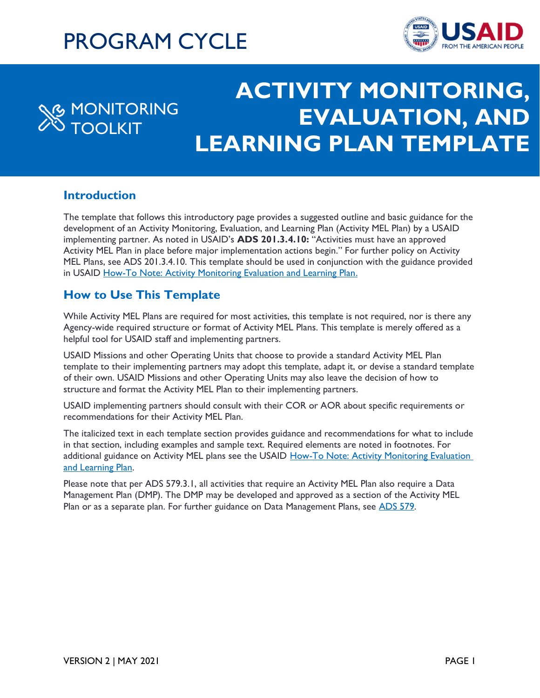# PROGRAM CYCLE



## **TITLE GOES HERE EVALUATION, AND** LEARNING PLAN TEMPLATE **MONITORING** TOOLKIT **ACTIVITY MONITORING,**

## **Introduction**

The template that follows this introductory page provides a suggested outline and basic guidance for the development of an Activity Monitoring, Evaluation, and Learning Plan (Activity MEL Plan) by a USAID implementing partner. As noted in USAID's **ADS 201.3.4.10:** "Activities must have an approved Activity MEL Plan in place before major implementation actions begin." For further policy on Activity MEL Plans, see ADS 201.3.4.10. This template should be used in conjunction with the guidance provided in USAID [How-To Note: Activity Monitoring Evaluation and Learning Plan.](https://usaidlearninglab.org/library/how-note-activity-monitoring%2C-evaluation%2C-and-learning-plan)

## **How to Use This Template**

While Activity MEL Plans are required for most activities, this template is not required, nor is there any Agency-wide required structure or format of Activity MEL Plans. This template is merely offered as a helpful tool for USAID staff and implementing partners.

USAID Missions and other Operating Units that choose to provide a standard Activity MEL Plan template to their implementing partners may adopt this template, adapt it, or devise a standard template of their own. USAID Missions and other Operating Units may also leave the decision of how to structure and format the Activity MEL Plan to their implementing partners.

USAID implementing partners should consult with their COR or AOR about specific requirements or recommendations for their Activity MEL Plan.

The italicized text in each template section provides guidance and recommendations for what to include in that section, including examples and sample text. Required elements are noted in footnotes. For additional guidance on Activity MEL plans see the USAID How-To Note: Activity Monitoring Evaluation [and Learning Plan.](https://usaidlearninglab.org/library/how-note-activity-monitoring%2C-evaluation%2C-and-learning-plan)

Please note that per ADS 579.3.1, all activities that require an Activity MEL Plan also require a Data Management Plan (DMP). The DMP may be developed and approved as a section of the Activity MEL Plan or as a separate plan. For further guidance on Data Management Plans, see [ADS 579.](https://www.usaid.gov/sites/default/files/documents/579.pdf)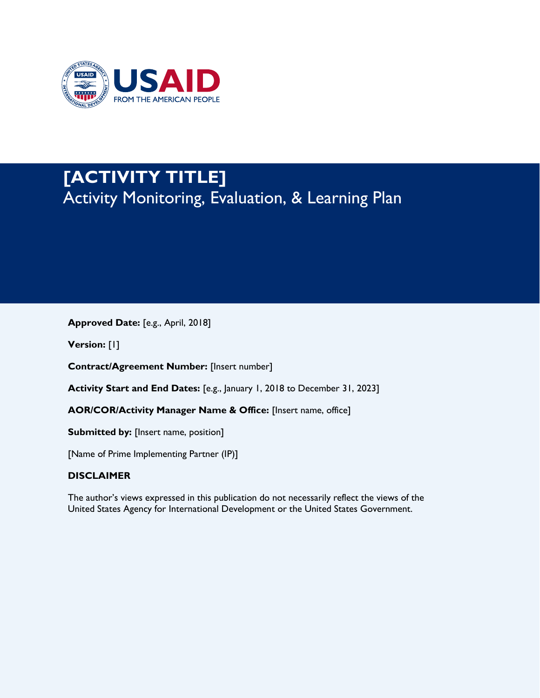

## **[ACTIVITY TITLE]**  Activity Monitoring, Evaluation, & Learning Plan

**Approved Date:** [e.g., April, 2018]

**Version:** [1]

**Contract/Agreement Number:** [Insert number]

**Activity Start and End Dates:** [e.g., January 1, 2018 to December 31, 2023]

**AOR/COR/Activity Manager Name & Office:** [Insert name, office]

**Submitted by:** [Insert name, position]

[Name of Prime Implementing Partner (IP)]

#### **DISCLAIMER**

The author's views expressed in this publication do not necessarily reflect the views of the United States Agency for International Development or the United States Government.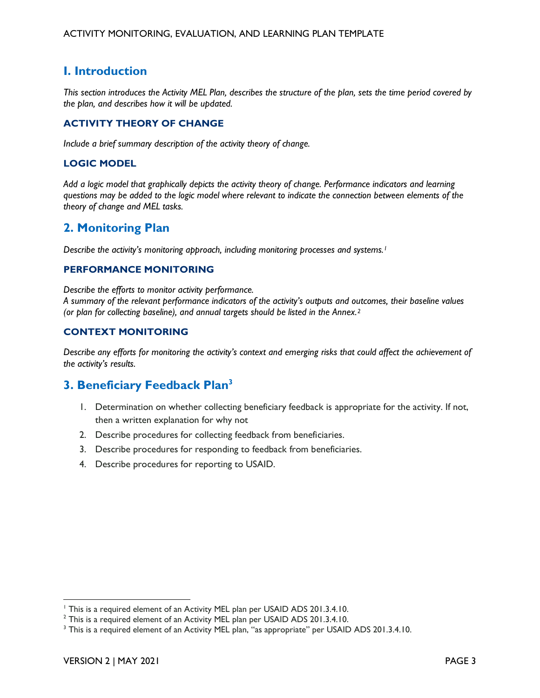## **I. Introduction**

*This section introduces the Activity MEL Plan, describes the structure of the plan, sets the time period covered by the plan, and describes how it will be updated.* 

#### **ACTIVITY THEORY OF CHANGE**

*Include a brief summary description of the activity theory of change.* 

#### **LOGIC MODEL**

*Add a logic model that graphically depicts the activity theory of change. Performance indicators and learning questions may be added to the logic model where relevant to indicate the connection between elements of the theory of change and MEL tasks.* 

#### **2. Monitoring Plan**

*Describe the activity's monitoring approach, including monitoring processes and systems.<sup>1</sup>*

#### **PERFORMANCE MONITORING**

*Describe the efforts to monitor activity performance.* 

*A summary of the relevant performance indicators of the activity's outputs and outcomes, their baseline values (or plan for collecting baseline), and annual targets should be listed in the Annex.2* 

#### **CONTEXT MONITORING**

*Describe any efforts for monitoring the activity's context and emerging risks that could affect the achievement of the activity's results.* 

#### **3. Beneficiary Feedback Plan3**

- 1. Determination on whether collecting beneficiary feedback is appropriate for the activity. If not, then a written explanation for why not
- 2. Describe procedures for collecting feedback from beneficiaries.
- 3. Describe procedures for responding to feedback from beneficiaries.
- 4. Describe procedures for reporting to USAID.

<sup>&</sup>lt;sup>1</sup> This is a required element of an Activity MEL plan per USAID ADS 201.3.4.10.

<sup>&</sup>lt;sup>2</sup> This is a required element of an Activity MEL plan per USAID ADS 201.3.4.10.

<sup>&</sup>lt;sup>3</sup> This is a required element of an Activity MEL plan, "as appropriate" per USAID ADS 201.3.4.10.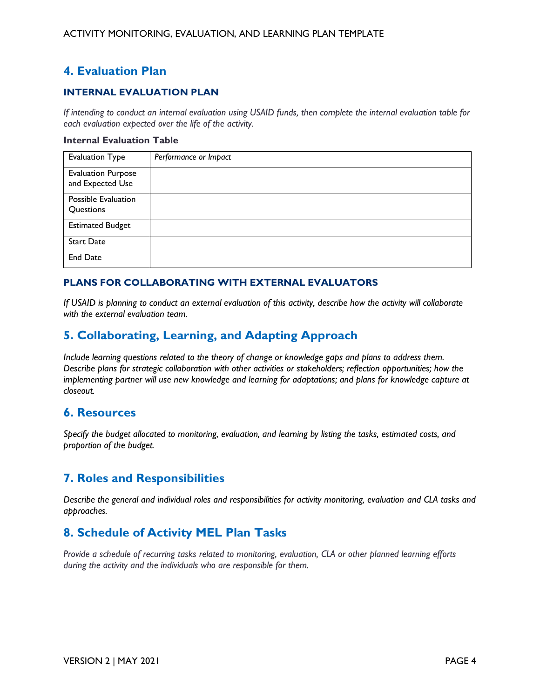## **4. Evaluation Plan**

#### **INTERNAL EVALUATION PLAN**

*If intending to conduct an internal evaluation using USAID funds, then complete the internal evaluation table for each evaluation expected over the life of the activity.* 

#### **Internal Evaluation Table**

| <b>Evaluation Type</b>                        | Performance or Impact |
|-----------------------------------------------|-----------------------|
| <b>Evaluation Purpose</b><br>and Expected Use |                       |
| Possible Evaluation<br>Questions              |                       |
| <b>Estimated Budget</b>                       |                       |
| <b>Start Date</b>                             |                       |
| <b>End Date</b>                               |                       |

#### **PLANS FOR COLLABORATING WITH EXTERNAL EVALUATORS**

 *If USAID is planning to conduct an external evaluation of this activity, describe how the activity will collaborate with the external evaluation team.* 

## **5. Collaborating, Learning, and Adapting Approach**

 *Include learning questions related to the theory of change or knowledge gaps and plans to address them. Describe plans for strategic collaboration with other activities or stakeholders; reflection opportunities; how the implementing partner will use new knowledge and learning for adaptations; and plans for knowledge capture at closeout.* 

#### **6. Resources**

 *Specify the budget allocated to monitoring, evaluation, and learning by listing the tasks, estimated costs, and proportion of the budget.* 

## **7. Roles and Responsibilities**

 *Describe the general and individual roles and responsibilities for activity monitoring, evaluation and CLA tasks and approaches.* 

## **8. Schedule of Activity MEL Plan Tasks**

 *Provide a schedule of recurring tasks related to monitoring, evaluation, CLA or other planned learning efforts*  during the activity and the individuals who are responsible for them.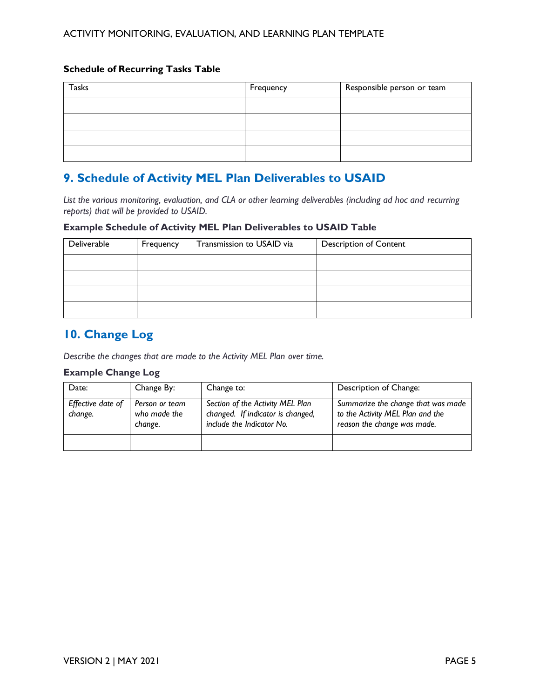#### **Schedule of Recurring Tasks Table**

| <b>Tasks</b> | Frequency | Responsible person or team |  |  |  |
|--------------|-----------|----------------------------|--|--|--|
|              |           |                            |  |  |  |
|              |           |                            |  |  |  |
|              |           |                            |  |  |  |
|              |           |                            |  |  |  |

## **9. Schedule of Activity MEL Plan Deliverables to USAID**

List the various monitoring, evaluation, and CLA or other learning deliverables (including ad hoc and recurring  *reports) that will be provided to USAID.* 

#### **Example Schedule of Activity MEL Plan Deliverables to USAID Table**

| Deliverable | Frequency | Transmission to USAID via | <b>Description of Content</b> |  |  |  |
|-------------|-----------|---------------------------|-------------------------------|--|--|--|
|             |           |                           |                               |  |  |  |
|             |           |                           |                               |  |  |  |
|             |           |                           |                               |  |  |  |
|             |           |                           |                               |  |  |  |

## **10. Change Log**

 *Describe the changes that are made to the Activity MEL Plan over time.* 

#### **Example Change Log**

| Date:                        | Change By:                                | Change to:                                                                                         | Description of Change:                                                                                |
|------------------------------|-------------------------------------------|----------------------------------------------------------------------------------------------------|-------------------------------------------------------------------------------------------------------|
| Effective date of<br>change. | Person or team<br>who made the<br>change. | Section of the Activity MEL Plan<br>changed. If indicator is changed,<br>include the Indicator No. | Summarize the change that was made<br>to the Activity MEL Plan and the<br>reason the change was made. |
|                              |                                           |                                                                                                    |                                                                                                       |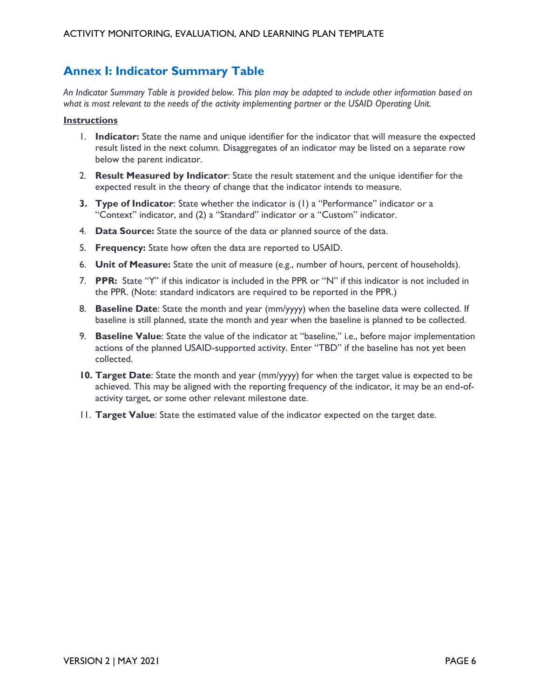## **Annex I: Indicator Summary Table**

 *An Indicator Summary Table is provided below. This plan may be adapted to include other information based on what is most relevant to the needs of the activity implementing partner or the USAID Operating Unit.* 

#### **Instructions**

- 1. **Indicator:** State the name and unique identifier for the indicator that will measure the expected result listed in the next column. Disaggregates of an indicator may be listed on a separate row below the parent indicator.
- 2. **Result Measured by Indicator**: State the result statement and the unique identifier for the expected result in the theory of change that the indicator intends to measure.
- **3. Type of Indicator**: State whether the indicator is (1) a "Performance" indicator or a "Context" indicator, and (2) a "Standard" indicator or a "Custom" indicator.
- 4. **Data Source:** State the source of the data or planned source of the data.
- 5. **Frequency:** State how often the data are reported to USAID.
- 6. **Unit of Measure:** State the unit of measure (e.g., number of hours, percent of households).
- 7. **PPR:** State "Y" if this indicator is included in the PPR or "N" if this indicator is not included in the PPR. (Note: standard indicators are required to be reported in the PPR.)
- 8. **Baseline Date**: State the month and year (mm/yyyy) when the baseline data were collected. If baseline is still planned, state the month and year when the baseline is planned to be collected.
- 9. **Baseline Value**: State the value of the indicator at "baseline," i.e., before major implementation actions of the planned USAID-supported activity. Enter "TBD" if the baseline has not yet been collected.
- **10. Target Date**: State the month and year (mm/yyyy) for when the target value is expected to be achieved. This may be aligned with the reporting frequency of the indicator, it may be an end-of-activity target, or some other relevant milestone date.
- 11. **Target Value**: State the estimated value of the indicator expected on the target date.